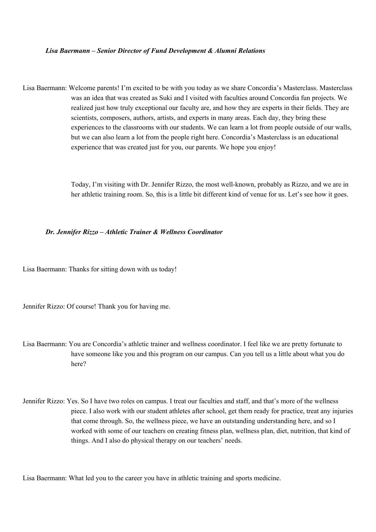## *Lisa Baermann – Senior Director of Fund Development & Alumni Relations*

Lisa Baermann: Welcome parents! I'm excited to be with you today as we share Concordia's Masterclass. Masterclass was an idea that was created as Suki and I visited with faculties around Concordia fun projects. We realized just how truly exceptional our faculty are, and how they are experts in their fields. They are scientists, composers, authors, artists, and experts in many areas. Each day, they bring these experiences to the classrooms with our students. We can learn a lot from people outside of our walls, but we can also learn a lot from the people right here. Concordia's Masterclass is an educational experience that was created just for you, our parents. We hope you enjoy!

> Today, I'm visiting with Dr. Jennifer Rizzo, the most well-known, probably as Rizzo, and we are in her athletic training room. So, this is a little bit different kind of venue for us. Let's see how it goes.

## *Dr. Jennifer Rizzo – Athletic Trainer & Wellness Coordinator*

Lisa Baermann: Thanks for sitting down with us today!

Jennifer Rizzo: Of course! Thank you for having me.

- Lisa Baermann: You are Concordia's athletic trainer and wellness coordinator. I feel like we are pretty fortunate to have someone like you and this program on our campus. Can you tell us a little about what you do here?
- Jennifer Rizzo: Yes. So I have two roles on campus. I treat our faculties and staff, and that's more of the wellness piece. I also work with our student athletes after school, get them ready for practice, treat any injuries that come through. So, the wellness piece, we have an outstanding understanding here, and so I worked with some of our teachers on creating fitness plan, wellness plan, diet, nutrition, that kind of things. And I also do physical therapy on our teachers' needs.

Lisa Baermann: What led you to the career you have in athletic training and sports medicine.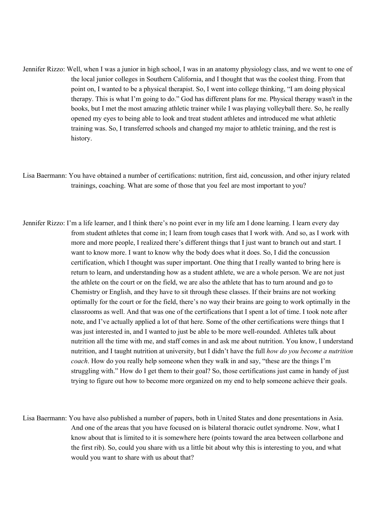- Jennifer Rizzo: Well, when I was a junior in high school, I was in an anatomy physiology class, and we went to one of the local junior colleges in Southern California, and I thought that was the coolest thing. From that point on, I wanted to be a physical therapist. So, I went into college thinking, "I am doing physical therapy. This is what I'm going to do." God has different plans for me. Physical therapy wasn't in the books, but I met the most amazing athletic trainer while I was playing volleyball there. So, he really opened my eyes to being able to look and treat student athletes and introduced me what athletic training was. So, I transferred schools and changed my major to athletic training, and the rest is history.
- Lisa Baermann: You have obtained a number of certifications: nutrition, first aid, concussion, and other injury related trainings, coaching. What are some of those that you feel are most important to you?
- Jennifer Rizzo: I'm a life learner, and I think there's no point ever in my life am I done learning. I learn every day from student athletes that come in; I learn from tough cases that I work with. And so, as I work with more and more people, I realized there's different things that I just want to branch out and start. I want to know more. I want to know why the body does what it does. So, I did the concussion certification, which I thought was super important. One thing that I really wanted to bring here is return to learn, and understanding how as a student athlete, we are a whole person. We are not just the athlete on the court or on the field, we are also the athlete that has to turn around and go to Chemistry or English, and they have to sit through these classes. If their brains are not working optimally for the court or for the field, there's no way their brains are going to work optimally in the classrooms as well. And that was one of the certifications that I spent a lot of time. I took note after note, and I've actually applied a lot of that here. Some of the other certifications were things that I was just interested in, and I wanted to just be able to be more well-rounded. Athletes talk about nutrition all the time with me, and staff comes in and ask me about nutrition. You know, I understand nutrition, and I taught nutrition at university, but I didn't have the full *how do you become a nutrition coach*. How do you really help someone when they walk in and say, "these are the things I'm struggling with." How do I get them to their goal? So, those certifications just came in handy of just trying to figure out how to become more organized on my end to help someone achieve their goals.
- Lisa Baermann: You have also published a number of papers, both in United States and done presentations in Asia. And one of the areas that you have focused on is bilateral thoracic outlet syndrome. Now, what I know about that is limited to it is somewhere here (points toward the area between collarbone and the first rib). So, could you share with us a little bit about why this is interesting to you, and what would you want to share with us about that?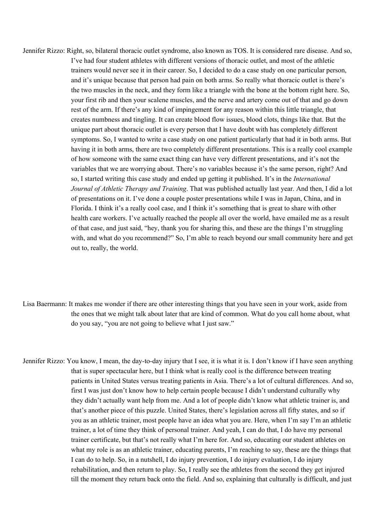- Jennifer Rizzo: Right, so, bilateral thoracic outlet syndrome, also known as TOS. It is considered rare disease. And so, I've had four student athletes with different versions of thoracic outlet, and most of the athletic trainers would never see it in their career. So, I decided to do a case study on one particular person, and it's unique because that person had pain on both arms. So really what thoracic outlet is there's the two muscles in the neck, and they form like a triangle with the bone at the bottom right here. So, your first rib and then your scalene muscles, and the nerve and artery come out of that and go down rest of the arm. If there's any kind of impingement for any reason within this little triangle, that creates numbness and tingling. It can create blood flow issues, blood clots, things like that. But the unique part about thoracic outlet is every person that I have doubt with has completely different symptoms. So, I wanted to write a case study on one patient particularly that had it in both arms. But having it in both arms, there are two completely different presentations. This is a really cool example of how someone with the same exact thing can have very different presentations, and it's not the variables that we are worrying about. There's no variables because it's the same person, right? And so, I started writing this case study and ended up getting it published. It's in the *International Journal of Athletic Therapy and Training*. That was published actually last year. And then, I did a lot of presentations on it. I've done a couple poster presentations while I was in Japan, China, and in Florida. I think it's a really cool case, and I think it's something that is great to share with other health care workers. I've actually reached the people all over the world, have emailed me as a result of that case, and just said, "hey, thank you for sharing this, and these are the things I'm struggling with, and what do you recommend?" So, I'm able to reach beyond our small community here and get out to, really, the world.
- Lisa Baermann: It makes me wonder if there are other interesting things that you have seen in your work, aside from the ones that we might talk about later that are kind of common. What do you call home about, what do you say, "you are not going to believe what I just saw."
- Jennifer Rizzo: You know, I mean, the day-to-day injury that I see, it is what it is. I don't know if I have seen anything that is super spectacular here, but I think what is really cool is the difference between treating patients in United States versus treating patients in Asia. There's a lot of cultural differences. And so, first I was just don't know how to help certain people because I didn't understand culturally why they didn't actually want help from me. And a lot of people didn't know what athletic trainer is, and that's another piece of this puzzle. United States, there's legislation across all fifty states, and so if you as an athletic trainer, most people have an idea what you are. Here, when I'm say I'm an athletic trainer, a lot of time they think of personal trainer. And yeah, I can do that, I do have my personal trainer certificate, but that's not really what I'm here for. And so, educating our student athletes on what my role is as an athletic trainer, educating parents, I'm reaching to say, these are the things that I can do to help. So, in a nutshell, I do injury prevention, I do injury evaluation, I do injury rehabilitation, and then return to play. So, I really see the athletes from the second they get injured till the moment they return back onto the field. And so, explaining that culturally is difficult, and just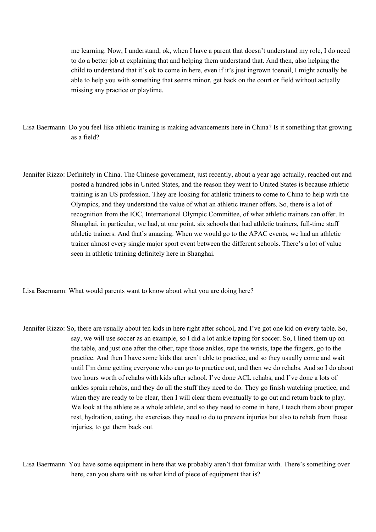me learning. Now, I understand, ok, when I have a parent that doesn't understand my role, I do need to do a better job at explaining that and helping them understand that. And then, also helping the child to understand that it's ok to come in here, even if it's just ingrown toenail, I might actually be able to help you with something that seems minor, get back on the court or field without actually missing any practice or playtime.

- Lisa Baermann: Do you feel like athletic training is making advancements here in China? Is it something that growing as a field?
- Jennifer Rizzo: Definitely in China. The Chinese government, just recently, about a year ago actually, reached out and posted a hundred jobs in United States, and the reason they went to United States is because athletic training is an US profession. They are looking for athletic trainers to come to China to help with the Olympics, and they understand the value of what an athletic trainer offers. So, there is a lot of recognition from the IOC, International Olympic Committee, of what athletic trainers can offer. In Shanghai, in particular, we had, at one point, six schools that had athletic trainers, full-time staff athletic trainers. And that's amazing. When we would go to the APAC events, we had an athletic trainer almost every single major sport event between the different schools. There's a lot of value seen in athletic training definitely here in Shanghai.

Lisa Baermann: What would parents want to know about what you are doing here?

Jennifer Rizzo: So, there are usually about ten kids in here right after school, and I've got one kid on every table. So, say, we will use soccer as an example, so I did a lot ankle taping for soccer. So, I lined them up on the table, and just one after the other, tape those ankles, tape the wrists, tape the fingers, go to the practice. And then I have some kids that aren't able to practice, and so they usually come and wait until I'm done getting everyone who can go to practice out, and then we do rehabs. And so I do about two hours worth of rehabs with kids after school. I've done ACL rehabs, and I've done a lots of ankles sprain rehabs, and they do all the stuff they need to do. They go finish watching practice, and when they are ready to be clear, then I will clear them eventually to go out and return back to play. We look at the athlete as a whole athlete, and so they need to come in here, I teach them about proper rest, hydration, eating, the exercises they need to do to prevent injuries but also to rehab from those injuries, to get them back out.

Lisa Baermann: You have some equipment in here that we probably aren't that familiar with. There's something over here, can you share with us what kind of piece of equipment that is?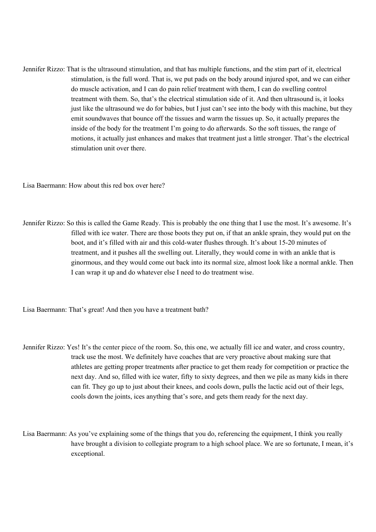Jennifer Rizzo: That is the ultrasound stimulation, and that has multiple functions, and the stim part of it, electrical stimulation, is the full word. That is, we put pads on the body around injured spot, and we can either do muscle activation, and I can do pain relief treatment with them, I can do swelling control treatment with them. So, that's the electrical stimulation side of it. And then ultrasound is, it looks just like the ultrasound we do for babies, but I just can't see into the body with this machine, but they emit soundwaves that bounce off the tissues and warm the tissues up. So, it actually prepares the inside of the body for the treatment I'm going to do afterwards. So the soft tissues, the range of motions, it actually just enhances and makes that treatment just a little stronger. That's the electrical stimulation unit over there.

Lisa Baermann: How about this red box over here?

Jennifer Rizzo: So this is called the Game Ready. This is probably the one thing that I use the most. It's awesome. It's filled with ice water. There are those boots they put on, if that an ankle sprain, they would put on the boot, and it's filled with air and this cold-water flushes through. It's about 15-20 minutes of treatment, and it pushes all the swelling out. Literally, they would come in with an ankle that is ginormous, and they would come out back into its normal size, almost look like a normal ankle. Then I can wrap it up and do whatever else I need to do treatment wise.

Lisa Baermann: That's great! And then you have a treatment bath?

- Jennifer Rizzo: Yes! It's the center piece of the room. So, this one, we actually fill ice and water, and cross country, track use the most. We definitely have coaches that are very proactive about making sure that athletes are getting proper treatments after practice to get them ready for competition or practice the next day. And so, filled with ice water, fifty to sixty degrees, and then we pile as many kids in there can fit. They go up to just about their knees, and cools down, pulls the lactic acid out of their legs, cools down the joints, ices anything that's sore, and gets them ready for the next day.
- Lisa Baermann: As you've explaining some of the things that you do, referencing the equipment, I think you really have brought a division to collegiate program to a high school place. We are so fortunate, I mean, it's exceptional.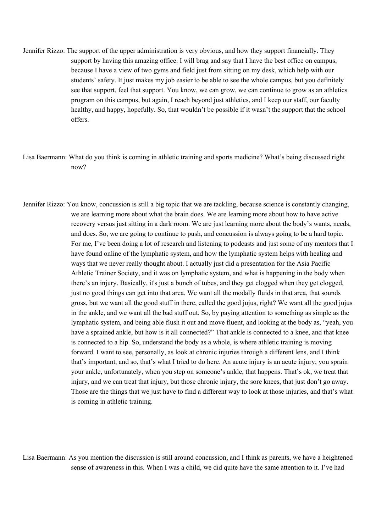- Jennifer Rizzo: The support of the upper administration is very obvious, and how they support financially. They support by having this amazing office. I will brag and say that I have the best office on campus, because I have a view of two gyms and field just from sitting on my desk, which help with our students' safety. It just makes my job easier to be able to see the whole campus, but you definitely see that support, feel that support. You know, we can grow, we can continue to grow as an athletics program on this campus, but again, I reach beyond just athletics, and I keep our staff, our faculty healthy, and happy, hopefully. So, that wouldn't be possible if it wasn't the support that the school offers.
- Lisa Baermann: What do you think is coming in athletic training and sports medicine? What's being discussed right now?
- Jennifer Rizzo: You know, concussion is still a big topic that we are tackling, because science is constantly changing, we are learning more about what the brain does. We are learning more about how to have active recovery versus just sitting in a dark room. We are just learning more about the body's wants, needs, and does. So, we are going to continue to push, and concussion is always going to be a hard topic. For me, I've been doing a lot of research and listening to podcasts and just some of my mentors that I have found online of the lymphatic system, and how the lymphatic system helps with healing and ways that we never really thought about. I actually just did a presentation for the Asia Pacific Athletic Trainer Society, and it was on lymphatic system, and what is happening in the body when there's an injury. Basically, it's just a bunch of tubes, and they get clogged when they get clogged, just no good things can get into that area. We want all the modally fluids in that area, that sounds gross, but we want all the good stuff in there, called the good jujus, right? We want all the good jujus in the ankle, and we want all the bad stuff out. So, by paying attention to something as simple as the lymphatic system, and being able flush it out and move fluent, and looking at the body as, "yeah, you have a sprained ankle, but how is it all connected?" That ankle is connected to a knee, and that knee is connected to a hip. So, understand the body as a whole, is where athletic training is moving forward. I want to see, personally, as look at chronic injuries through a different lens, and I think that's important, and so, that's what I tried to do here. An acute injury is an acute injury; you sprain your ankle, unfortunately, when you step on someone's ankle, that happens. That's ok, we treat that injury, and we can treat that injury, but those chronic injury, the sore knees, that just don't go away. Those are the things that we just have to find a different way to look at those injuries, and that's what is coming in athletic training.

Lisa Baermann: As you mention the discussion is still around concussion, and I think as parents, we have a heightened sense of awareness in this. When I was a child, we did quite have the same attention to it. I've had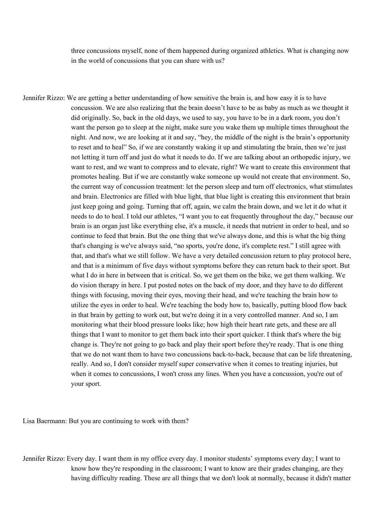three concussions myself, none of them happened during organized athletics. What is changing now in the world of concussions that you can share with us?

Jennifer Rizzo: We are getting a better understanding of how sensitive the brain is, and how easy it is to have concussion. We are also realizing that the brain doesn't have to be as baby as much as we thought it did originally. So, back in the old days, we used to say, you have to be in a dark room, you don't want the person go to sleep at the night, make sure you wake them up multiple times throughout the night. And now, we are looking at it and say, "hey, the middle of the night is the brain's opportunity to reset and to heal" So, if we are constantly waking it up and stimulating the brain, then we're just not letting it turn off and just do what it needs to do. If we are talking about an orthopedic injury, we want to rest, and we want to compress and to elevate, right? We want to create this environment that promotes healing. But if we are constantly wake someone up would not create that environment. So, the current way of concussion treatment: let the person sleep and turn off electronics, what stimulates and brain. Electronics are filled with blue light, that blue light is creating this environment that brain just keep going and going. Turning that off, again, we calm the brain down, and we let it do what it needs to do to heal. I told our athletes, "I want you to eat frequently throughout the day," because our brain is an organ just like everything else, it's a muscle, it needs that nutrient in order to heal, and so continue to feed that brain. But the one thing that we've always done, and this is what the big thing that's changing is we've always said, "no sports, you're done, it's complete rest." I still agree with that, and that's what we still follow. We have a very detailed concussion return to play protocol here, and that is a minimum of five days without symptoms before they can return back to their sport. But what I do in here in between that is critical. So, we get them on the bike, we get them walking. We do vision therapy in here. I put posted notes on the back of my door, and they have to do different things with focusing, moving their eyes, moving their head, and we're teaching the brain how to utilize the eyes in order to heal. We're teaching the body how to, basically, putting blood flow back in that brain by getting to work out, but we're doing it in a very controlled manner. And so, I am monitoring what their blood pressure looks like; how high their heart rate gets, and these are all things that I want to monitor to get them back into their sport quicker. I think that's where the big change is. They're not going to go back and play their sport before they're ready. That is one thing that we do not want them to have two concussions back-to-back, because that can be life threatening, really. And so, I don't consider myself super conservative when it comes to treating injuries, but when it comes to concussions, I won't cross any lines. When you have a concussion, you're out of your sport.

Lisa Baermann: But you are continuing to work with them?

Jennifer Rizzo: Every day. I want them in my office every day. I monitor students' symptoms every day; I want to know how they're responding in the classroom; I want to know are their grades changing, are they having difficulty reading. These are all things that we don't look at normally, because it didn't matter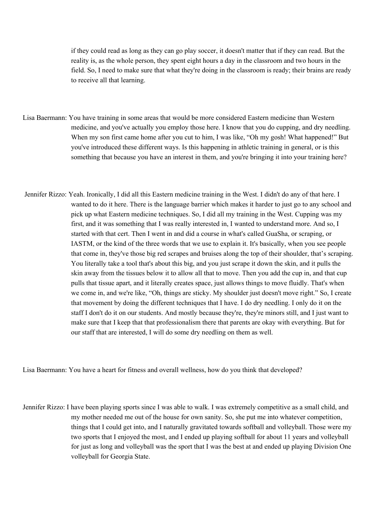if they could read as long as they can go play soccer, it doesn't matter that if they can read. But the reality is, as the whole person, they spent eight hours a day in the classroom and two hours in the field. So, I need to make sure that what they're doing in the classroom is ready; their brains are ready to receive all that learning.

- Lisa Baermann: You have training in some areas that would be more considered Eastern medicine than Western medicine, and you've actually you employ those here. I know that you do cupping, and dry needling. When my son first came home after you cut to him, I was like, "Oh my gosh! What happened!" But you've introduced these different ways. Is this happening in athletic training in general, or is this something that because you have an interest in them, and you're bringing it into your training here?
- Jennifer Rizzo: Yeah. Ironically, I did all this Eastern medicine training in the West. I didn't do any of that here. I wanted to do it here. There is the language barrier which makes it harder to just go to any school and pick up what Eastern medicine techniques. So, I did all my training in the West. Cupping was my first, and it was something that I was really interested in, I wanted to understand more. And so, I started with that cert. Then I went in and did a course in what's called GuaSha, or scraping, or IASTM, or the kind of the three words that we use to explain it. It's basically, when you see people that come in, they've those big red scrapes and bruises along the top of their shoulder, that's scraping. You literally take a tool that's about this big, and you just scrape it down the skin, and it pulls the skin away from the tissues below it to allow all that to move. Then you add the cup in, and that cup pulls that tissue apart, and it literally creates space, just allows things to move fluidly. That's when we come in, and we're like, "Oh, things are sticky. My shoulder just doesn't move right." So, I create that movement by doing the different techniques that I have. I do dry needling. I only do it on the staff I don't do it on our students. And mostly because they're, they're minors still, and I just want to make sure that I keep that that professionalism there that parents are okay with everything. But for our staff that are interested, I will do some dry needling on them as well.

Lisa Baermann: You have a heart for fitness and overall wellness, how do you think that developed?

Jennifer Rizzo: I have been playing sports since I was able to walk. I was extremely competitive as a small child, and my mother needed me out of the house for own sanity. So, she put me into whatever competition, things that I could get into, and I naturally gravitated towards softball and volleyball. Those were my two sports that I enjoyed the most, and I ended up playing softball for about 11 years and volleyball for just as long and volleyball was the sport that I was the best at and ended up playing Division One volleyball for Georgia State.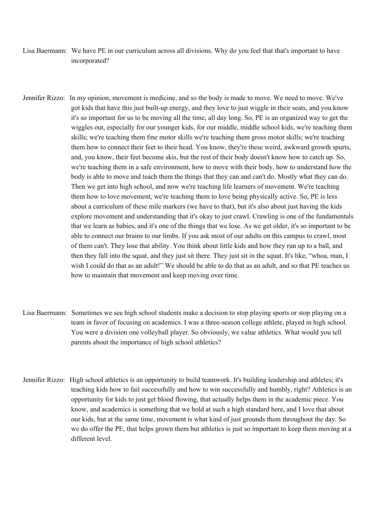- Lisa Baermann: We have PE in our curriculum across all divisions. Why do you feel that that's important to have incorporated?
- Jennifer Rizzo: In my opinion, movement is medicine, and so the body is made to move. We need to move. We've got kids that have this just built-up energy, and they love to just wiggle in their seats, and you know it's so important for us to be moving all the time, all day long. So, PE is an organized way to get the wiggles out, especially for our younger kids, for our middle, middle school kids, we're teaching them skills; we're teaching them fine motor skills we're teaching them gross motor skills; we're teaching them how to connect their feet to their head. You know, they're these weird, awkward growth spurts, and, you know, their feet become skis, but the rest of their body doesn't know how to catch up. So, we're teaching them in a safe environment, how to move with their body, how to understand how the body is able to move and teach them the things that they can and can't do. Mostly what they can do. Then we get into high school, and now we're teaching life learners of movement. We're teaching them how to love movement, we're teaching them to love being physically active. So, PE is less about a curriculum of these mile markers (we have to that), but it's also about just having the kids explore movement and understanding that it's okay to just crawl. Crawling is one of the fundamentals that we learn as babies, and it's one of the things that we lose. As we get older, it's so important to be able to connect our brains to our limbs. If you ask most of our adults on this campus to crawl, most of them can't. They lose that ability. You think about little kids and how they run up to a ball, and then they fall into the squat, and they just sit there. They just sit in the squat. It's like, "whoa, man, I wish I could do that as an adult!" We should be able to do that as an adult, and so that PE teaches us how to maintain that movement and keep moving over time.
- Lisa Baermann: Sometimes we see high school students make a decision to stop playing sports or stop playing on a team in favor of focusing on academics. I was a three-season college athlete, played in high school. You were a division one volleyball player. So obviously, we value athletics. What would you tell parents about the importance of high school athletics?
- Jennifer Rizzo: High school athletics is an opportunity to build teamwork. It's building leadership and athletes; it's teaching kids how to fail successfully and how to win successfully and humbly, right? Athletics is an opportunity for kids to just get blood flowing, that actually helps them in the academic piece. You know, and academics is something that we hold at such a high standard here, and I love that about our kids, but at the same time, movement is what kind of just grounds them throughout the day. So we do offer the PE, that helps grown them but athletics is just so important to keep them moving at a different level.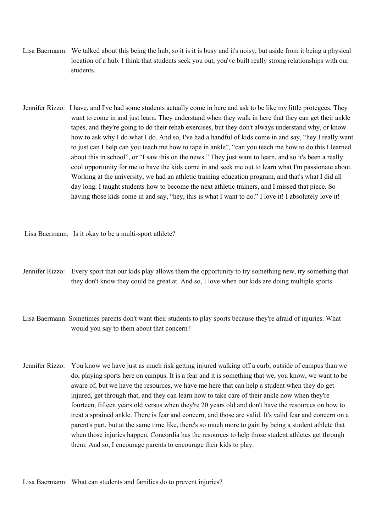- Lisa Baermann: We talked about this being the hub, so it is it is busy and it's noisy, but aside from it being a physical location of a hub. I think that students seek you out, you've built really strong relationships with our students.
- Jennifer Rizzo: I have, and I've had some students actually come in here and ask to be like my little protegees. They want to come in and just learn. They understand when they walk in here that they can get their ankle tapes, and they're going to do their rehab exercises, but they don't always understand why, or know how to ask why I do what I do. And so, I've had a handful of kids come in and say, "hey I really want to just can I help can you teach me how to tape in ankle", "can you teach me how to do this I learned about this in school", or "I saw this on the news." They just want to learn, and so it's been a really cool opportunity for me to have the kids come in and seek me out to learn what I'm passionate about. Working at the university, we had an athletic training education program, and that's what I did all day long. I taught students how to become the next athletic trainers, and I missed that piece. So having those kids come in and say, "hey, this is what I want to do." I love it! I absolutely love it!

Lisa Baermann: Is it okay to be a multi-sport athlete?

- Jennifer Rizzo: Every sport that our kids play allows them the opportunity to try something new, try something that they don't know they could be great at. And so, I love when our kids are doing multiple sports.
- Lisa Baermann: Sometimes parents don't want their students to play sports because they're afraid of injuries. What would you say to them about that concern?
- Jennifer Rizzo: You know we have just as much risk getting injured walking off a curb, outside of campus than we do, playing sports here on campus. It is a fear and it is something that we, you know, we want to be aware of, but we have the resources, we have me here that can help a student when they do get injured, get through that, and they can learn how to take care of their ankle now when they're fourteen, fifteen years old versus when they're 20 years old and don't have the resources on how to treat a sprained ankle. There is fear and concern, and those are valid. It's valid fear and concern on a parent's part, but at the same time like, there's so much more to gain by being a student athlete that when those injuries happen, Concordia has the resources to help those student athletes get through them. And so, I encourage parents to encourage their kids to play.

Lisa Baermann: What can students and families do to prevent injuries?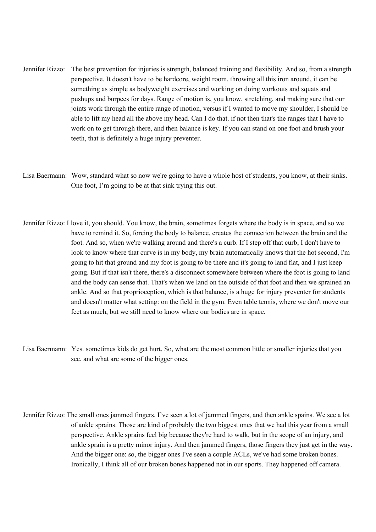- Jennifer Rizzo: The best prevention for injuries is strength, balanced training and flexibility. And so, from a strength perspective. It doesn't have to be hardcore, weight room, throwing all this iron around, it can be something as simple as bodyweight exercises and working on doing workouts and squats and pushups and burpees for days. Range of motion is, you know, stretching, and making sure that our joints work through the entire range of motion, versus if I wanted to move my shoulder, I should be able to lift my head all the above my head. Can I do that. if not then that's the ranges that I have to work on to get through there, and then balance is key. If you can stand on one foot and brush your teeth, that is definitely a huge injury preventer.
- Lisa Baermann: Wow, standard what so now we're going to have a whole host of students, you know, at their sinks. One foot, I'm going to be at that sink trying this out.
- Jennifer Rizzo: I love it, you should. You know, the brain, sometimes forgets where the body is in space, and so we have to remind it. So, forcing the body to balance, creates the connection between the brain and the foot. And so, when we're walking around and there's a curb. If I step off that curb, I don't have to look to know where that curve is in my body, my brain automatically knows that the hot second, I'm going to hit that ground and my foot is going to be there and it's going to land flat, and I just keep going. But if that isn't there, there's a disconnect somewhere between where the foot is going to land and the body can sense that. That's when we land on the outside of that foot and then we sprained an ankle. And so that proprioception, which is that balance, is a huge for injury preventer for students and doesn't matter what setting: on the field in the gym. Even table tennis, where we don't move our feet as much, but we still need to know where our bodies are in space.
- Lisa Baermann: Yes. sometimes kids do get hurt. So, what are the most common little or smaller injuries that you see, and what are some of the bigger ones.
- Jennifer Rizzo: The small ones jammed fingers. I've seen a lot of jammed fingers, and then ankle spains. We see a lot of ankle sprains. Those are kind of probably the two biggest ones that we had this year from a small perspective. Ankle sprains feel big because they're hard to walk, but in the scope of an injury, and ankle sprain is a pretty minor injury. And then jammed fingers, those fingers they just get in the way. And the bigger one: so, the bigger ones I've seen a couple ACLs, we've had some broken bones. Ironically, I think all of our broken bones happened not in our sports. They happened off camera.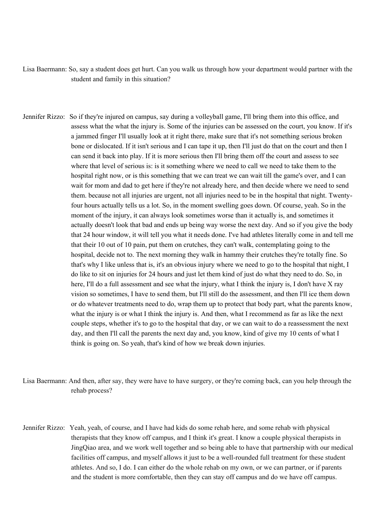Lisa Baermann: So, say a student does get hurt. Can you walk us through how your department would partner with the student and family in this situation?

- Jennifer Rizzo: So if they're injured on campus, say during a volleyball game, I'll bring them into this office, and assess what the what the injury is. Some of the injuries can be assessed on the court, you know. If it's a jammed finger I'll usually look at it right there, make sure that it's not something serious broken bone or dislocated. If it isn't serious and I can tape it up, then I'll just do that on the court and then I can send it back into play. If it is more serious then I'll bring them off the court and assess to see where that level of serious is: is it something where we need to call we need to take them to the hospital right now, or is this something that we can treat we can wait till the game's over, and I can wait for mom and dad to get here if they're not already here, and then decide where we need to send them. because not all injuries are urgent, not all injuries need to be in the hospital that night. Twentyfour hours actually tells us a lot. So, in the moment swelling goes down. Of course, yeah. So in the moment of the injury, it can always look sometimes worse than it actually is, and sometimes it actually doesn't look that bad and ends up being way worse the next day. And so if you give the body that 24 hour window, it will tell you what it needs done. I've had athletes literally come in and tell me that their 10 out of 10 pain, put them on crutches, they can't walk, contemplating going to the hospital, decide not to. The next morning they walk in hammy their crutches they're totally fine. So that's why I like unless that is, it's an obvious injury where we need to go to the hospital that night, I do like to sit on injuries for 24 hours and just let them kind of just do what they need to do. So, in here, I'll do a full assessment and see what the injury, what I think the injury is, I don't have X ray vision so sometimes, I have to send them, but I'll still do the assessment, and then I'll ice them down or do whatever treatments need to do, wrap them up to protect that body part, what the parents know, what the injury is or what I think the injury is. And then, what I recommend as far as like the next couple steps, whether it's to go to the hospital that day, or we can wait to do a reassessment the next day, and then I'll call the parents the next day and, you know, kind of give my 10 cents of what I think is going on. So yeah, that's kind of how we break down injuries.
- Lisa Baermann: And then, after say, they were have to have surgery, or they're coming back, can you help through the rehab process?
- Jennifer Rizzo: Yeah, yeah, of course, and I have had kids do some rehab here, and some rehab with physical therapists that they know off campus, and I think it's great. I know a couple physical therapists in JingQiao area, and we work well together and so being able to have that partnership with our medical facilities off campus, and myself allows it just to be a well-rounded full treatment for these student athletes. And so, I do. I can either do the whole rehab on my own, or we can partner, or if parents and the student is more comfortable, then they can stay off campus and do we have off campus.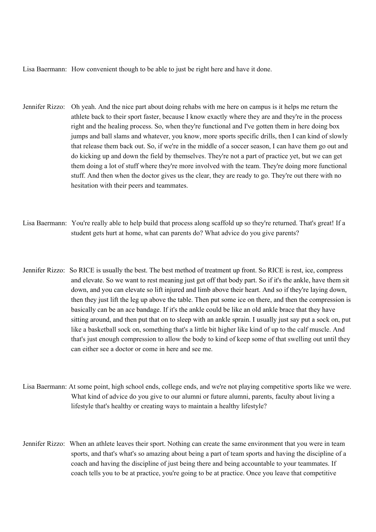Lisa Baermann: How convenient though to be able to just be right here and have it done.

- Jennifer Rizzo: Oh yeah. And the nice part about doing rehabs with me here on campus is it helps me return the athlete back to their sport faster, because I know exactly where they are and they're in the process right and the healing process. So, when they're functional and I've gotten them in here doing box jumps and ball slams and whatever, you know, more sports specific drills, then I can kind of slowly that release them back out. So, if we're in the middle of a soccer season, I can have them go out and do kicking up and down the field by themselves. They're not a part of practice yet, but we can get them doing a lot of stuff where they're more involved with the team. They're doing more functional stuff. And then when the doctor gives us the clear, they are ready to go. They're out there with no hesitation with their peers and teammates.
- Lisa Baermann: You're really able to help build that process along scaffold up so they're returned. That's great! If a student gets hurt at home, what can parents do? What advice do you give parents?
- Jennifer Rizzo: So RICE is usually the best. The best method of treatment up front. So RICE is rest, ice, compress and elevate. So we want to rest meaning just get off that body part. So if it's the ankle, have them sit down, and you can elevate so lift injured and limb above their heart. And so if they're laying down, then they just lift the leg up above the table. Then put some ice on there, and then the compression is basically can be an ace bandage. If it's the ankle could be like an old ankle brace that they have sitting around, and then put that on to sleep with an ankle sprain. I usually just say put a sock on, put like a basketball sock on, something that's a little bit higher like kind of up to the calf muscle. And that's just enough compression to allow the body to kind of keep some of that swelling out until they can either see a doctor or come in here and see me.
- Lisa Baermann: At some point, high school ends, college ends, and we're not playing competitive sports like we were. What kind of advice do you give to our alumni or future alumni, parents, faculty about living a lifestyle that's healthy or creating ways to maintain a healthy lifestyle?
- Jennifer Rizzo: When an athlete leaves their sport. Nothing can create the same environment that you were in team sports, and that's what's so amazing about being a part of team sports and having the discipline of a coach and having the discipline of just being there and being accountable to your teammates. If coach tells you to be at practice, you're going to be at practice. Once you leave that competitive